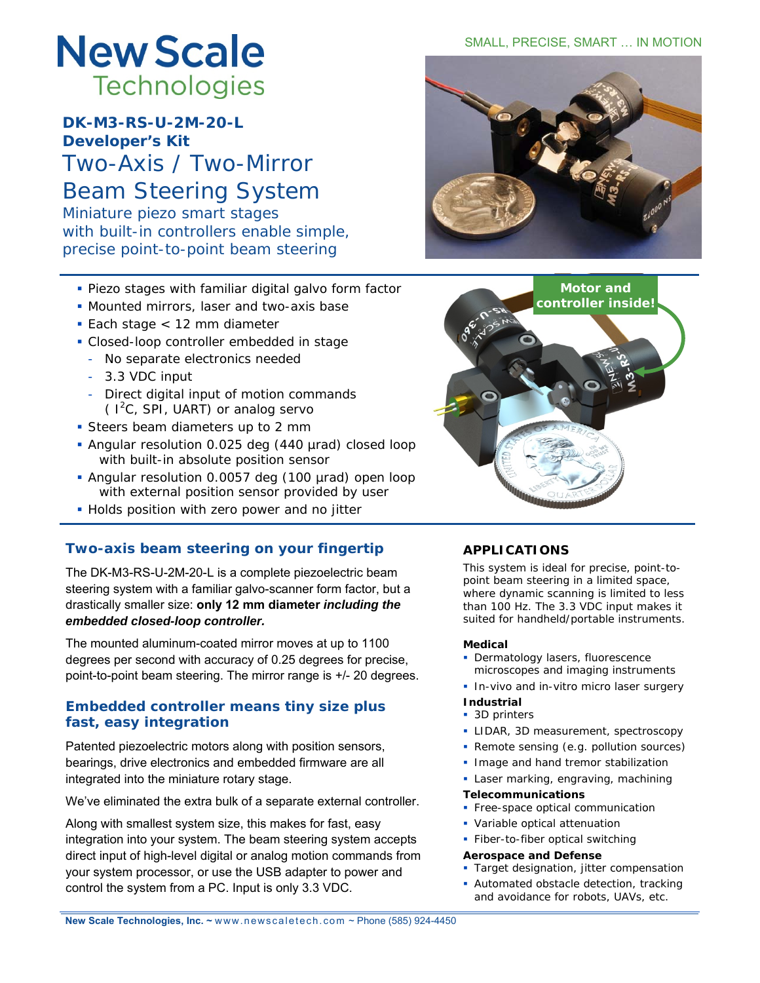# **New Scale Technologies**

**DK-M3-RS-U-2M-20-L Developer's Kit** Two-Axis / Two-Mirror Beam Steering System

Miniature piezo smart stages with built-in controllers enable simple, precise point-to-point beam steering

- Piezo stages with familiar digital galvo form factor
- **Mounted mirrors, laser and two-axis base**
- Each stage < 12 mm diameter
- Closed-loop controller embedded in stage
	- *No separate electronics needed*
	- 3.3 VDC input
	- Direct digital input of motion commands  $(1<sup>2</sup>C, SPI, UART)$  or analog servo
- **Steers beam diameters up to 2 mm**
- Angular resolution 0.025 deg (440 µrad) closed loop with built-in absolute position sensor
- Angular resolution 0.0057 deg (100 µrad) open loop with external position sensor provided by user
- **Holds position with zero power and no jitter**

# **Two-axis beam steering on your fingertip**

The DK-M3-RS-U-2M-20-L is a complete piezoelectric beam steering system with a familiar galvo-scanner form factor, but a drastically smaller size: **only 12 mm diameter** *including the embedded closed-loop controller.* 

The mounted aluminum-coated mirror moves at up to 1100 degrees per second with accuracy of 0.25 degrees for precise, point-to-point beam steering. The mirror range is +/- 20 degrees.

# **Embedded controller means tiny size plus fast, easy integration**

Patented piezoelectric motors along with position sensors, bearings, drive electronics and embedded firmware are all integrated into the miniature rotary stage.

We've eliminated the extra bulk of a separate external controller.

Along with smallest system size, this makes for fast, easy integration into your system. The beam steering system accepts direct input of high-level digital or analog motion commands from your system processor, or use the USB adapter to power and control the system from a PC. Input is only 3.3 VDC.

### SMALL, PRECISE, SMART … IN MOTION





# **APPLICATIONS**

This system is ideal for precise, point-topoint beam steering in a limited space, where dynamic scanning is limited to less than 100 Hz. The 3.3 VDC input makes it suited for handheld/portable instruments.

#### **Medical**

- **Dermatology lasers, fluorescence** microscopes and imaging instruments
- In-vivo and in-vitro micro laser surgery

#### **Industrial**

- 3D printers
- **LIDAR, 3D measurement, spectroscopy**
- **Remote sensing (e.g. pollution sources)**
- **Image and hand tremor stabilization**
- **Laser marking, engraving, machining**
- **Telecommunications**
- **Free-space optical communication**
- Variable optical attenuation
- **Fiber-to-fiber optical switching**

#### **Aerospace and Defense**

- **Target designation, jitter compensation**
- **Automated obstacle detection, tracking** and avoidance for robots, UAVs, etc.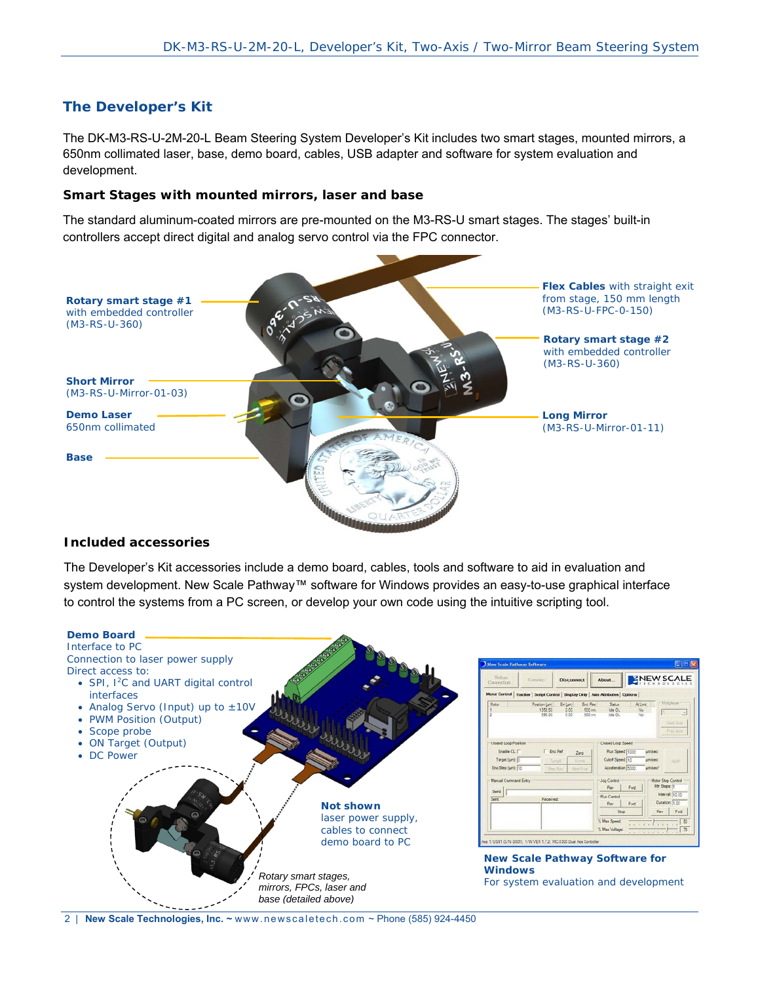# **The Developer's Kit**

The DK-M3-RS-U-2M-20-L Beam Steering System Developer's Kit includes two smart stages, mounted mirrors, a 650nm collimated laser, base, demo board, cables, USB adapter and software for system evaluation and development.

#### **Smart Stages with mounted mirrors, laser and base**

The standard aluminum-coated mirrors are pre-mounted on the M3-RS-U smart stages. The stages' built-in controllers accept direct digital and analog servo control via the FPC connector.



#### **Included accessories**

The Developer's Kit accessories include a demo board, cables, tools and software to aid in evaluation and system development. New Scale Pathway™ software for Windows provides an easy-to-use graphical interface to control the systems from a PC screen, or develop your own code using the intuitive scripting tool.



2 | **New Scale Technologies, Inc. ~** www.newscaletech.com ~ Phone (585) 924-4450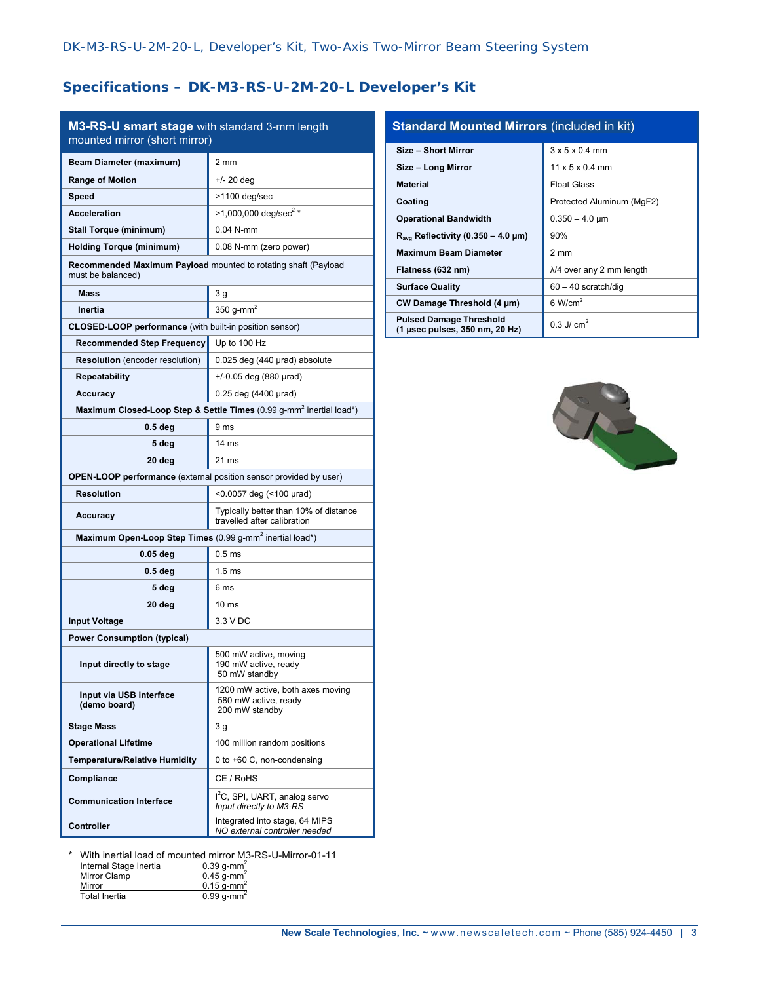# **Specifications – DK-M3-RS-U-2M-20-L Developer's Kit**

| M3-RS-U smart stage with standard 3-mm length<br>mounted mirror (short mirror)      |                                                                                 |  |
|-------------------------------------------------------------------------------------|---------------------------------------------------------------------------------|--|
| Beam Diameter (maximum)                                                             | $2 \text{ mm}$                                                                  |  |
| <b>Range of Motion</b>                                                              | +/- 20 deg                                                                      |  |
| Speed                                                                               | >1100 deg/sec                                                                   |  |
| <b>Acceleration</b>                                                                 | $>1,000,000$ deg/sec <sup>2</sup> *                                             |  |
| <b>Stall Torque (minimum)</b>                                                       | $0.04$ N-mm                                                                     |  |
| <b>Holding Torque (minimum)</b>                                                     | 0.08 N-mm (zero power)                                                          |  |
| Recommended Maximum Payload mounted to rotating shaft (Payload<br>must be balanced) |                                                                                 |  |
| <b>Mass</b>                                                                         | 3 <sub>g</sub>                                                                  |  |
| Inertia                                                                             | 350 g-mm <sup>2</sup>                                                           |  |
| CLOSED-LOOP performance (with built-in position sensor)                             |                                                                                 |  |
| <b>Recommended Step Frequency</b>                                                   | Up to 100 Hz                                                                    |  |
| <b>Resolution</b> (encoder resolution)                                              | 0.025 deg (440 µrad) absolute                                                   |  |
| Repeatability                                                                       | $+/-0.05$ deg (880 µrad)                                                        |  |
| <b>Accuracy</b>                                                                     | 0.25 deg (4400 µrad)                                                            |  |
|                                                                                     | Maximum Closed-Loop Step & Settle Times (0.99 g-mm <sup>2</sup> inertial load*) |  |
| 0.5 <sub>deg</sub>                                                                  | 9 ms                                                                            |  |
| 5 deg                                                                               | 14 <sub>ms</sub>                                                                |  |
| 20 deg                                                                              | 21 ms                                                                           |  |
| OPEN-LOOP performance (external position sensor provided by user)                   |                                                                                 |  |
| <b>Resolution</b>                                                                   | <0.0057 deg (<100 µrad)                                                         |  |
| <b>Accuracy</b>                                                                     | Typically better than 10% of distance<br>travelled after calibration            |  |
| Maximum Open-Loop Step Times (0.99 g-mm <sup>2</sup> inertial load*)                |                                                                                 |  |
| 0.05 deg                                                                            | 0.5 <sub>ms</sub>                                                               |  |
| 0.5 deg                                                                             | 1.6 <sub>ms</sub>                                                               |  |
| 5 deg                                                                               | 6 ms                                                                            |  |
| 20 deg                                                                              | 10 <sub>ms</sub>                                                                |  |
| <b>Input Voltage</b>                                                                | 3.3 V DC                                                                        |  |
| <b>Power Consumption (typical)</b>                                                  |                                                                                 |  |
| Input directly to stage                                                             | 500 mW active, moving<br>190 mW active, ready<br>50 mW standby                  |  |
| Input via USB interface<br>(demo board)                                             | 1200 mW active, both axes moving<br>580 mW active, ready<br>200 mW standby      |  |
| <b>Stage Mass</b>                                                                   | 3 g                                                                             |  |
| <b>Operational Lifetime</b>                                                         | 100 million random positions                                                    |  |
| <b>Temperature/Relative Humidity</b>                                                | 0 to +60 C, non-condensing                                                      |  |
| Compliance                                                                          | CE / RoHS                                                                       |  |
| <b>Communication Interface</b>                                                      | I <sup>2</sup> C, SPI, UART, analog servo<br>Input directly to M3-RS            |  |
| <b>Controller</b>                                                                   | Integrated into stage, 64 MIPS<br>NO external controller needed                 |  |

| <b>Standard Mounted Mirrors (included in kit)</b>                |                                   |  |
|------------------------------------------------------------------|-----------------------------------|--|
| Size - Short Mirror                                              | $3 \times 5 \times 0.4$ mm        |  |
| Size - Long Mirror                                               | $11 \times 5 \times 0.4$ mm       |  |
| <b>Material</b>                                                  | <b>Float Glass</b>                |  |
| Coating                                                          | Protected Aluminum (MgF2)         |  |
| <b>Operational Bandwidth</b>                                     | $0.350 - 4.0 \,\text{\mu m}$      |  |
| $R_{\text{avg}}$ Reflectivity (0.350 – 4.0 µm)                   | 90%                               |  |
| <b>Maximum Beam Diameter</b>                                     | 2 mm                              |  |
| Flatness (632 nm)                                                | $\lambda$ /4 over any 2 mm length |  |
| <b>Surface Quality</b>                                           | $60 - 40$ scratch/dig             |  |
| CW Damage Threshold (4 µm)                                       | $6$ W/cm <sup>2</sup>             |  |
| <b>Pulsed Damage Threshold</b><br>(1 µsec pulses, 350 nm, 20 Hz) | $0.3$ . $1/$ cm <sup>2</sup>      |  |



\* With inertial load of mounted mirror M3-RS-U-Mirror-01-11

| Internal Stage Inertia | $0.39$ q-mm <sup>2</sup> |
|------------------------|--------------------------|
| Mirror Clamp           | $0.45$ g-mm <sup>2</sup> |
| Mirror                 | $0.15$ g-mm <sup>2</sup> |
| Total Inertia          | $0.99$ q-mm <sup>2</sup> |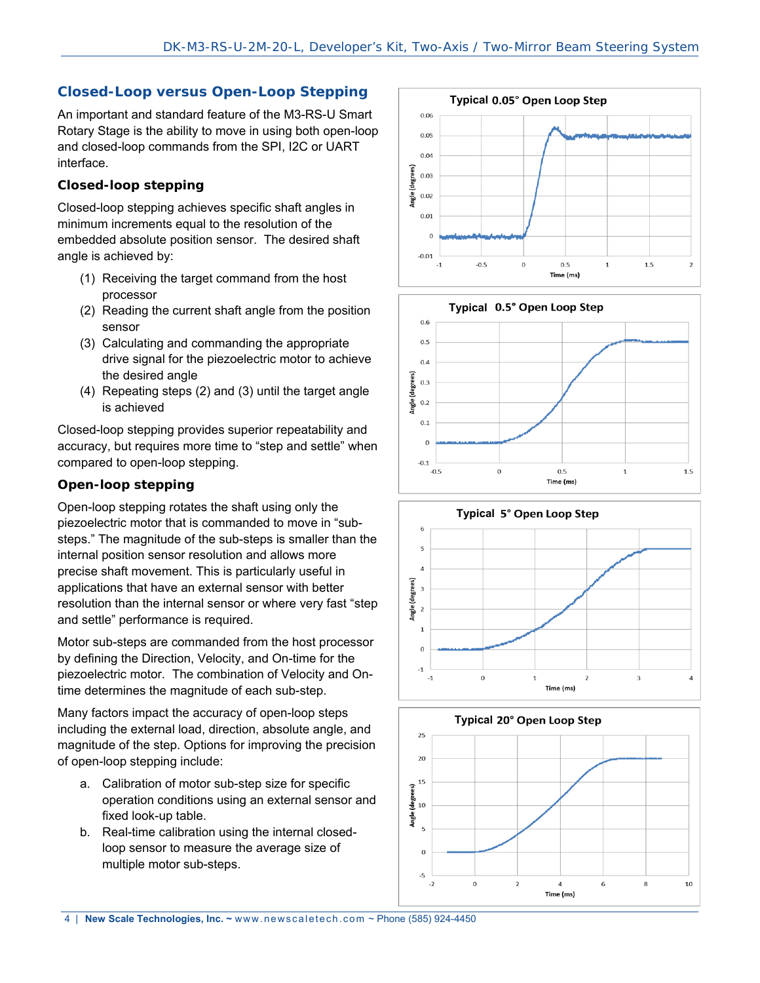# **Closed-Loop versus Open-Loop Stepping**

An important and standard feature of the M3-RS-U Smart Rotary Stage is the ability to move in using both open-loop and closed-loop commands from the SPI, I2C or UART interface.

# **Closed-loop stepping**

Closed-loop stepping achieves specific shaft angles in minimum increments equal to the resolution of the embedded absolute position sensor. The desired shaft angle is achieved by:

- (1) Receiving the target command from the host processor
- (2) Reading the current shaft angle from the position sensor
- (3) Calculating and commanding the appropriate drive signal for the piezoelectric motor to achieve the desired angle
- (4) Repeating steps (2) and (3) until the target angle is achieved

Closed-loop stepping provides superior repeatability and accuracy, but requires more time to "step and settle" when compared to open-loop stepping.

# **Open-loop stepping**

Open-loop stepping rotates the shaft using only the piezoelectric motor that is commanded to move in "substeps." The magnitude of the sub-steps is smaller than the internal position sensor resolution and allows more precise shaft movement. This is particularly useful in applications that have an external sensor with better resolution than the internal sensor or where very fast "step and settle" performance is required.

Motor sub-steps are commanded from the host processor by defining the Direction, Velocity, and On-time for the piezoelectric motor. The combination of Velocity and Ontime determines the magnitude of each sub-step.

Many factors impact the accuracy of open-loop steps including the external load, direction, absolute angle, and magnitude of the step. Options for improving the precision of open-loop stepping include:

- a. Calibration of motor sub-step size for specific operation conditions using an external sensor and fixed look-up table.
- b. Real-time calibration using the internal closedloop sensor to measure the average size of multiple motor sub-steps.







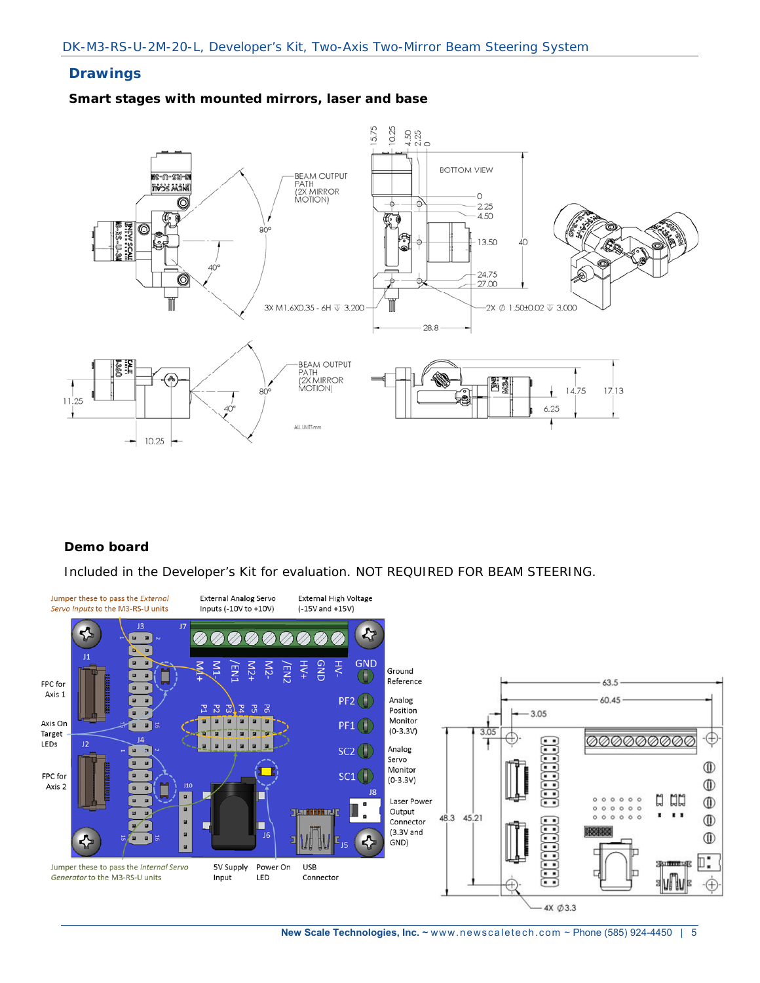# **Drawings**

#### **Smart stages with mounted mirrors, laser and base**



# **Demo board**

Included in the Developer's Kit for evaluation. NOT REQUIRED FOR BEAM STEERING.



 **New Scale Technologies, Inc. ~** www.newscaletech.com ~ Phone (585) 924-4450 | 5